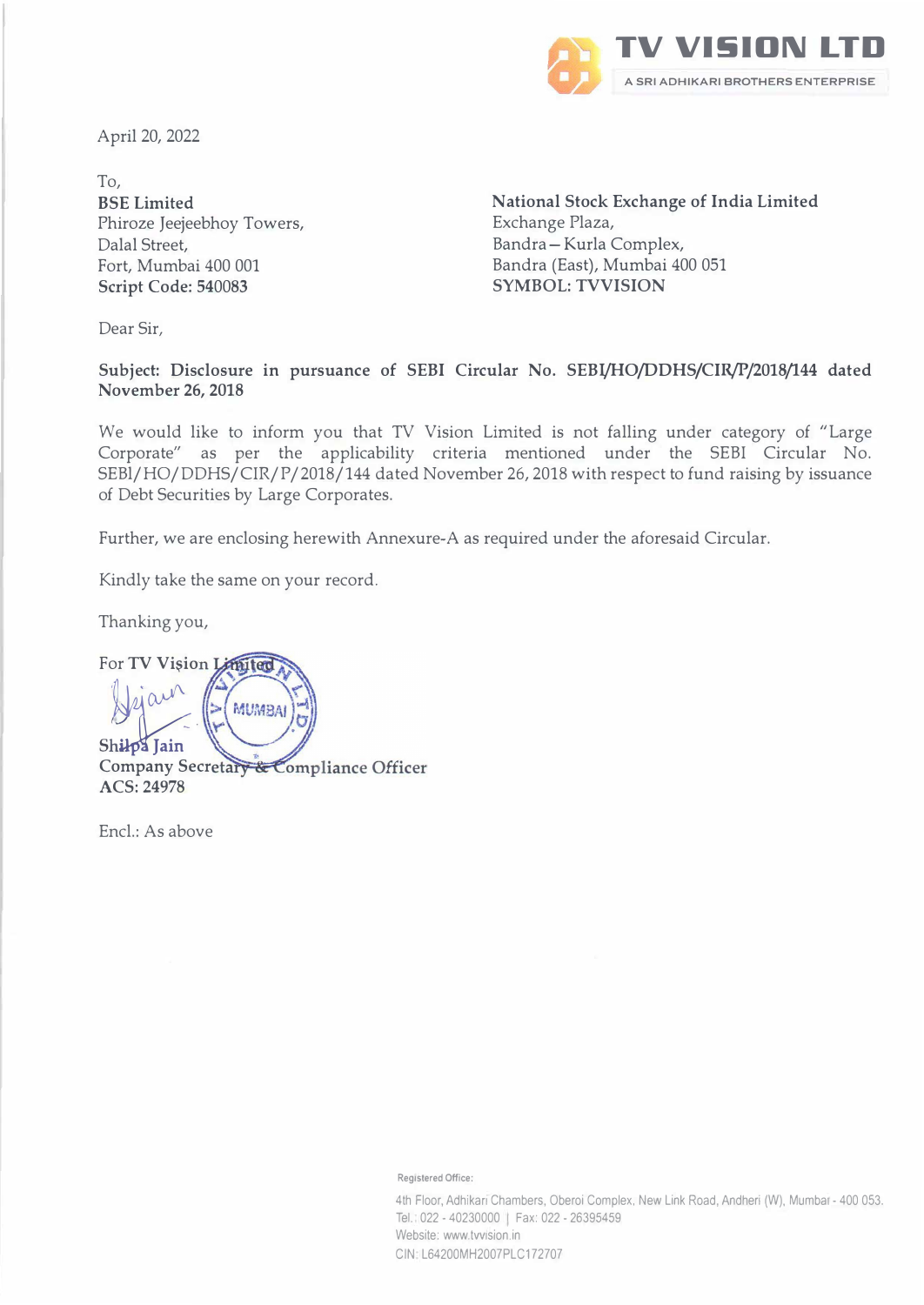

April 20, 2022

To, BSE Limited Phiroze Jeejeebhoy Towers, Dalal Street, Fort, Mumbai 400 001 Script Code: 540083

**National Stock Exchange of India Limited**  Exchange Plaza, Bandra-Kurla Complex, Bandra (East), Mumbai 400 051 **SYMBOL: TVVISION** 

Dear Sir,

**Subject: Disclosure in pursuance of SEBI Circular No. SEBJ/HO/DDHS/CIR/P/2018/144 dated November 26, 2018** 

We would like to inform you that TV Vision Limited is not falling under category of "Large Corporate" as per the applicability criteria mentioned under the SEBI Circular No. SEBl/HO/DDHS/CIR/P/2018/144 dated November 26, 2018 with respect to fund raising by issuance of Debt Securities by Large Corporates.

Further, we are enclosing herewith Annexure-A as required under the aforesaid Circular.

Kindly take the same on your record.

Thanking you,

For **TV** Vision Limited Hejain **MUMBA** Shilpa Iain Company Secretary & Compliance Officer **ACS:** 24978

Encl.: As above

Registered Office:

4th Floor, Adhikarı Chambers, Oberoi Complex, New Link Road, Andheri (W), Mumbai - 400 053. Tel. 022 - 40230000 | Fax: 022 - 26395459 Website: www.tvvision.in CIN L64200MH2007PLC172707